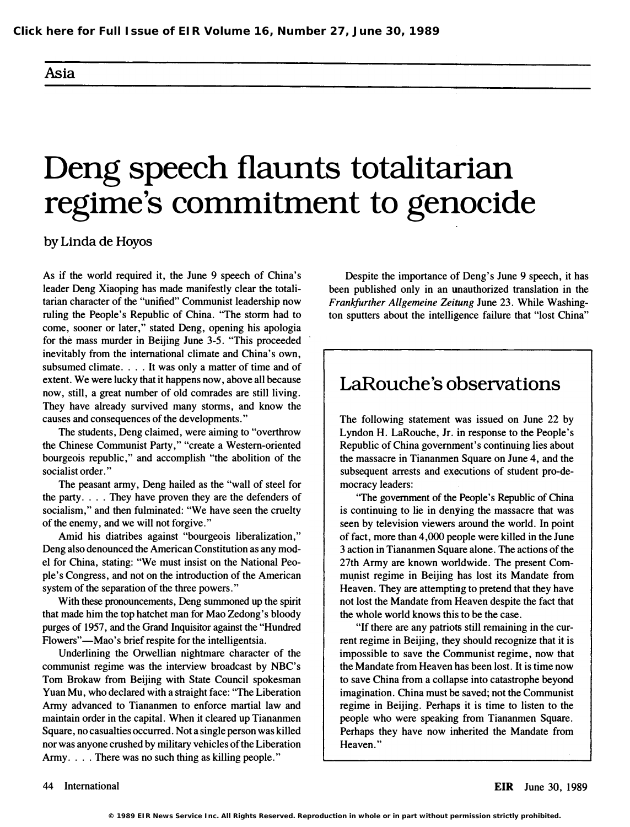#### Asia

# Deng speech flaunts totalitarian regime's commitment to genocide

by Linda de Hoyos

As if the world required it, the June 9 speech of China's leader Deng Xiaoping has made manifestly clear the totalitarian character of the "unified" Communist leadership now ruling the People's Republic of China. ''The storm had to come, sooner or later," stated Deng, opening his apologia for the mass murder in Beijing June 3-5. "This proceeded inevitably from the international climate and China's own, subsumed climate. . . . It was only a matter of time and of extent. We were lucky that it happens now, above all because now, still, a great number of old comrades are still living. They have already survived many storms, and know the causes and consequences of the developments."

The students, Deng claimed, were aiming to "overthrow the Chinese Communist Party," "create a Western-oriented bourgeois republic," and accomplish "the abolition of the socialist order."

The peasant army, Deng hailed as the "wall of steel for the party. . . . They have proven they are the defenders of socialism," and then fulminated: "We have seen the cruelty of the enemy, and we will not forgive."

Amid his diatribes against "bourgeois liberalization," Deng also denounced the American Constitution as any model for China, stating: "We must insist on the National Peopie's Congress, and not on the introduction of the American system of the separation of the three powers. "

With these pronouncements, Deng summoned up the spirit that made him the top hatchet man for Mao Zedong's bloody purges of 1957, and the Grand Inquisitor against the "Hundred Flowers"—Mao's brief respite for the intelligentsia.

Underlining the Orwellian nightmare character of the communist regime was the interview broadcast by NBC's Tom Brokaw from Beijing with State Council spokesman Yuan Mu, who declared with a straight face: "The Liberation Army advanced to Tiananmen to enforce martial law and maintain order in the capital. When it cleared up Tiananmen Square, no casualties occurred. Not a single person was killed nor was anyone crushed by military vehicles of the Liberation Army. . . . There was no such thing as killing people."

Despite the importance of Deng's June 9 speech, it has been published only in an unauthorized translation in the Frankfurther Allgemeine Zeitung June 23. While Washington sputters about the intelligence failure that "lost China"

### LaRouche's observations

The following statement was issued on June 22 by Lyndon H. LaRouche, Jr. in response to the People's Republic of China government's continuing lies about the massacre in Tiananmen Square on June 4, and the subsequent arrests and executions of student pro-democracy leaders:

''The government of the People's Republic of China is continuing to lie in denying the massacre that was seen by television viewers around the world. In point of fact, more than 4,000 people were killed in the June 3 action in Tiananmen Square alone. The actions of the 27th Army are known worldwide. The present Communist regime in Beijing has lost its Mandate from Heaven. They are attempting to pretend that they have not lost the Mandate from Heaven despite the fact that the whole world knows this to be the case.

"If there are any patriots still remaining in the current regime in Beijing, they should recognize that it is impossible to save the Communist regime, now that the Mandate from Heaven has been lost. It is time now to save China from a collapse into catastrophe beyond imagination. China must be saved; not the Communist regime in Beijing. Perhaps it is time to listen to the people who were speaking from Tiananmen Square. Perhaps they have now inherited the Mandate from Heaven."